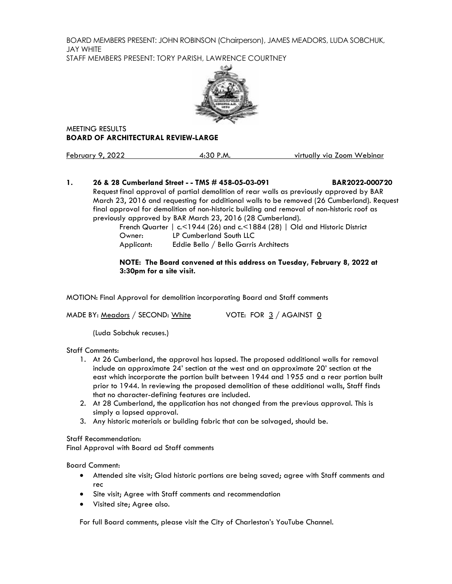BOARD MEMBERS PRESENT: JOHN ROBINSON (Chairperson), JAMES MEADORS, LUDA SOBCHUK, JAY WHITE STAFF MEMBERS PRESENT: TORY PARISH, LAWRENCE COURTNEY



MEETING RESULTS **BOARD OF ARCHITECTURAL REVIEW-LARGE**

February 9, 2022 4:30 P.M. virtually via Zoom Webinar

## **1. 26 & 28 Cumberland Street - - TMS # 458-05-03-091 BAR2022-000720** Requestfinal approval of partial demolition of rear walls as previously approved by BAR

March 23, 2016 and requesting for additional walls to be removed (26 Cumberland). Request final approval for demolition of non-historic building and removal of non-historic roof as previously approved by BAR March 23, 2016 (28 Cumberland).

French Quarter | c.<1944 (26) and c.<1884 (28) | Old and Historic District Owner: LP Cumberland South LLC Applicant: Eddie Bello / Bello Garris Architects

#### **NOTE: The Board convened at this address on Tuesday, February 8, 2022 at 3:30pm for a site visit.**

MOTION: Final Approval for demolition incorporating Board and Staff comments

MADE BY: Meadors / SECOND: White  $V$  VOTE: FOR  $3/4$  AGAINST  $\underline{0}$ 

(Luda Sobchuk recuses.)

Staff Comments:

- 1. At 26 Cumberland, the approval has lapsed. The proposed additional walls for removal include an approximate 24' section at the west and an approximate 20' section at the east which incorporate the portion built between 1944 and 1955 and a rear portion built prior to 1944. In reviewing the proposed demolition of these additional walls, Staff finds that no character-defining features are included.
- 2. At 28 Cumberland, the application has not changed from the previous approval. This is simply a lapsed approval.
- 3. Any historic materials or building fabric that can be salvaged, should be.

Staff Recommendation:

Final Approval with Board ad Staff comments

Board Comment:

- Attended site visit; Glad historic portions are being saved; agree with Staff comments and rec
- Site visit; Agree with Staff comments and recommendation
- Visited site; Agree also.

For full Board comments, please visit the City of Charleston's YouTube Channel.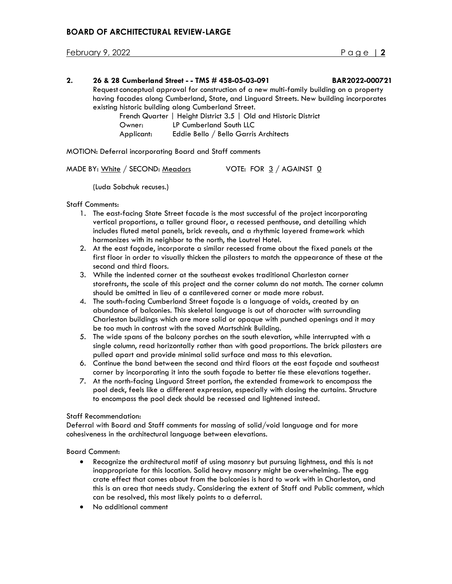February 9, 2022 Page | **2**

#### **2. 26 & 28 Cumberland Street - - TMS # 458-05-03-091 BAR2022-000721**

Request conceptual approval for construction of a new multi-family building on a property having facades along Cumberland, State, and Linguard Streets. New building incorporates existing historic building along Cumberland Street.

French Quarter | Height District 3.5 | Old and Historic District Owner: LP Cumberland South LLC Applicant: Eddie Bello / Bello Garris Architects

MOTION: Deferral incorporating Board and Staff comments

(Luda Sobchuk recuses.)

Staff Comments:

- 1. The east-facing State Street facade is the most successful of the project incorporating vertical proportions, a taller ground floor, a recessed penthouse, and detailing which includes fluted metal panels, brick reveals, and a rhythmic layered framework which harmonizes with its neighbor to the north, the Loutrel Hotel.
- 2. At the east façade, incorporate a similar recessed frame about the fixed panels at the first floor in order to visually thicken the pilasters to match the appearance of these at the second and third floors.
- 3. While the indented corner at the southeast evokes traditional Charleston corner storefronts, the scale of this project and the corner column do not match. The corner column should be omitted in lieu of a cantilevered corner or made more robust.
- 4. The south-facing Cumberland Street façade is a language of voids, created by an abundance of balconies. This skeletal language is out of character with surrounding Charleston buildings which are more solid or opaque with punched openings and it may be too much in contrast with the saved Martschink Building.
- 5. The wide spans of the balcony porches on the south elevation, while interrupted with a single column, read horizontally rather than with good proportions. The brick pilasters are pulled apart and provide minimal solid surface and mass to this elevation.
- 6. Continue the band between the second and third floors at the east façade and southeast corner by incorporating it into the south façade to better tie these elevations together.
- 7. At the north-facing Linguard Street portion, the extended framework to encompass the pool deck, feels like a different expression, especially with closing the curtains. Structure to encompass the pool deck should be recessed and lightened instead.

#### Staff Recommendation:

Deferral with Board and Staff comments for massing of solid/void language and for more cohesiveness in the architectural language between elevations.

Board Comment:

- Recognize the architectural motif of using masonry but pursuing lightness, and this is not inappropriate for this location. Solid heavy masonry might be overwhelming. The egg crate effect that comes about from the balconies is hard to work with in Charleston, and this is an area that needs study. Considering the extent of Staff and Public comment, which can be resolved, this most likely points to a deferral.
- No additional comment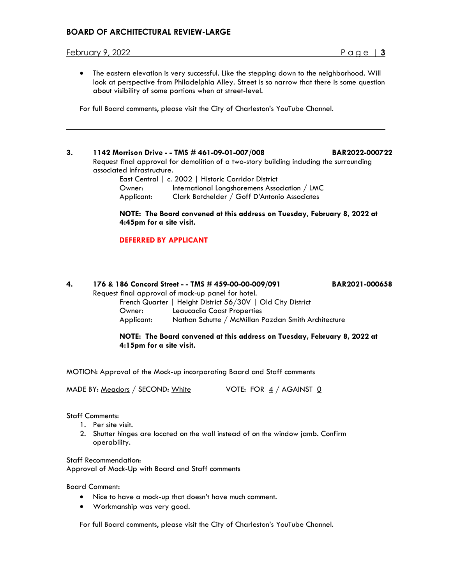## **BOARD OF ARCHITECTURAL REVIEW-LARGE**

#### February 9, 2022 Page | **3**

• The eastern elevation is very successful. Like the stepping down to the neighborhood. Will look at perspective from Philadelphia Alley. Street is so narrow that there is some question about visibility of some portions when at street-level.

For full Board comments, please visit the City of Charleston's YouTube Channel.

**3. 1142 Morrison Drive - - TMS # 461-09-01-007/008 BAR2022-000722** Request final approval for demolition of a two-story building including the surrounding associated infrastructure.

|            | East Central   c. 2002   Historic Corridor District |  |
|------------|-----------------------------------------------------|--|
| Owner:     | International Longshoremens Association / LMC       |  |
| Applicant: | Clark Batchelder / Goff D'Antonio Associates        |  |

#### **NOTE: The Board convened at this address on Tuesday, February 8, 2022 at 4:45pm for a site visit.**

#### **DEFERRED BY APPLICANT**

# **4. 176 & 186 Concord Street - - TMS # 459-00-00-009/091 BAR2021-000658**

Request final approval of mock-up panel for hotel.

French Quarter | Height District 56/30V | Old City District Owner: Leaucadia Coast Properties Applicant: Nathan Schutte / McMillan Pazdan Smith Architecture

**NOTE: The Board convened at this address on Tuesday, February 8, 2022 at 4:15pm for a site visit.**

MOTION: Approval of the Mock-up incorporating Baard and Staff comments

MADE BY: Meadors / SECOND: White  $V$  VOTE: FOR  $\frac{4}{3}$  / AGAINST  $\frac{0}{3}$ 

Staff Comments:

- 1. Per site visit.
- 2. Shutter hinges are located on the wall instead of on the window jamb. Confirm operability.

Staff Recommendation: Approval of Mock-Up with Board and Staff comments

Board Comment:

- Nice to have a mock-up that doesn't have much comment.
- Workmanship was very good.

For full Board comments, please visit the City of Charleston's YouTube Channel.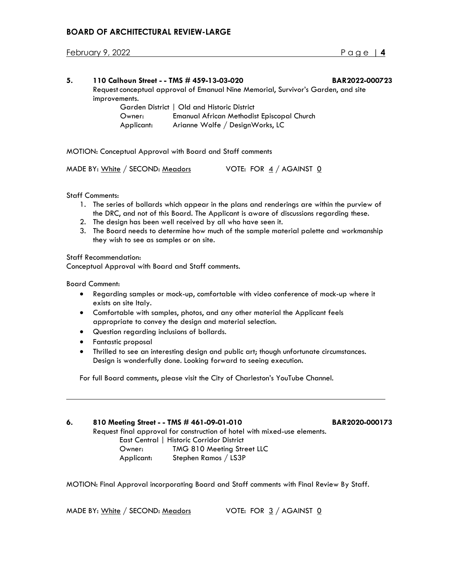## **BOARD OF ARCHITECTURAL REVIEW-LARGE**

February 9, 2022 Page | **4**

| 5. | 110 Calhoun Street - - TMS # 459-13-03-020                                        |                                                                               | BAR2022-000723 |
|----|-----------------------------------------------------------------------------------|-------------------------------------------------------------------------------|----------------|
|    | Request conceptual approval of Emanual Nine Memorial, Survivor's Garden, and site |                                                                               |                |
|    | improvements.                                                                     |                                                                               |                |
|    |                                                                                   | Garden District   Old and Historic District                                   |                |
|    | Owner:<br>Applicant:                                                              | Emanual African Methodist Episcopal Church<br>Arianne Wolfe / DesignWorks, LC |                |
|    |                                                                                   |                                                                               |                |

MOTION: Conceptual Approval with Board and Staff comments

| MADE BY: White / SECOND: Meadors | VOTE: FOR 4 / AGAINST 0 |  |
|----------------------------------|-------------------------|--|
|                                  |                         |  |

#### Staff Comments:

- 1. The series of bollards which appear in the plans and renderings are within the purview of the DRC, and not of this Board. The Applicant is aware of discussions regarding these.
- 2. The design has been well received by all who have seen it.
- 3. The Board needs to determine how much of the sample material palette and workmanship they wish to see as samples or on site.

Staff Recommendation:

Conceptual Approval with Board and Staff comments.

Board Comment:

- Regarding samples or mock-up, comfortable with video conference of mock-up where it exists on site Italy.
- Comfortable with samples, photos, and any other material the Applicant feels appropriate to convey the design and material selection.
- Question regarding inclusions of bollards.
- Fantastic proposal
- Thrilled to see an interesting design and public art; though unfortunate circumstances. Design is wonderfully done. Looking forward to seeing execution.

For full Board comments, please visit the City of Charleston's YouTube Channel.

#### **6. 810 Meeting Street - - TMS # 461-09-01-010 BAR2020-000173**

Request final approval for construction of hotel with mixed-use elements. East Central | Historic Corridor District

Owner: TMG 810 Meeting Street LLC Applicant: Stephen Ramos / LS3P

MOTION: Final Approval incorporating Board and Staff comments with Final Review By Staff.

MADE BY: White / SECOND: Meadors VOTE: FOR 3 / AGAINST 0